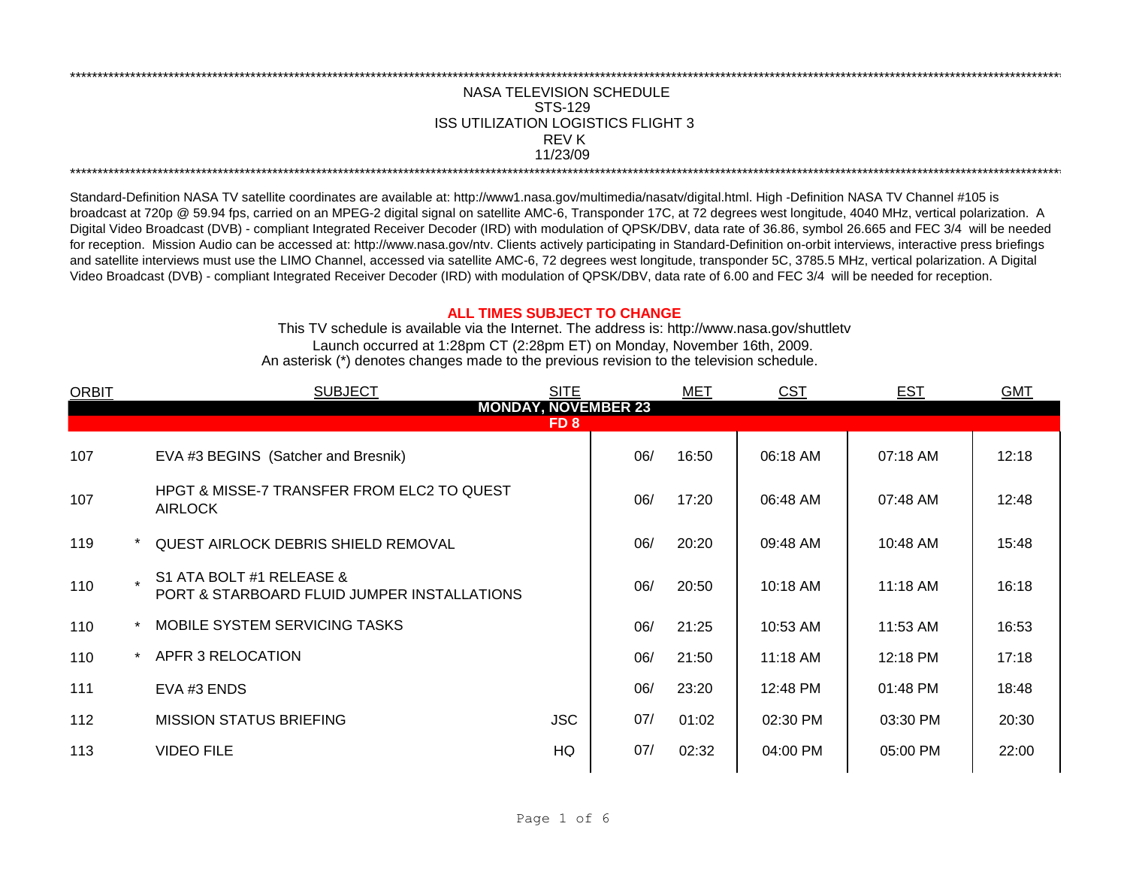## NASA TELEVISION SCHEDULE STS-129 REV K 11/23/09 \*\*\*\*\*\*\*\*\*\*\*\*\*\*\*\*\*\*\*\*\*\*\*\*\*\*\*\*\*\*\*\*\*\*\*\*\*\*\*\*\*\*\*\*\*\*\*\*\*\*\*\*\*\*\*\*\*\*\*\*\*\*\*\*\*\*\*\*\*\*\*\*\*\*\*\*\*\*\*\*\*\*\*\*\*\*\*\*\*\*\*\*\*\*\*\*\*\*\*\*\*\*\*\*\*\*\*\*\*\*\*\*\*\*\*\*\*\*\*\*\*\*\*\*\*\*\*\*\*\*\*\*\*\*\*\*\*\*\*\*\*\*\*\*\*\*\*\*\*\*\*\*\*\*\*\*\*\*\*\*\*\*\*\*\*\*\*\*\*\*\*\*\*\*\*\*\*\*\*\*\*\*\*\*\* ISS UTILIZATION LOGISTICS FLIGHT 3

\*\*\*\*\*\*\*\*\*\*\*\*\*\*\*\*\*\*\*\*\*\*\*\*\*\*\*\*\*\*\*\*\*\*\*\*\*\*\*\*\*\*\*\*\*\*\*\*\*\*\*\*\*\*\*\*\*\*\*\*\*\*\*\*\*\*\*\*\*\*\*\*\*\*\*\*\*\*\*\*\*\*\*\*\*\*\*\*\*\*\*\*\*\*\*\*\*\*\*\*\*\*\*\*\*\*\*\*\*\*\*\*\*\*\*\*\*\*\*\*\*\*\*\*\*\*\*\*\*\*\*\*\*\*\*\*\*\*\*\*\*\*\*\*\*\*\*\*\*\*\*\*\*\*\*\*\*\*\*\*\*\*\*\*\*\*\*\*\*\*\*\*\*\*\*\*\*\*\*\*\*\*\*\*\*

Standard-Definition NASA TV satellite coordinates are available at: http://www1.nasa.gov/multimedia/nasatv/digital.html. High -Definition NASA TV Channel #105 is broadcast at 720p @ 59.94 fps, carried on an MPEG-2 digital signal on satellite AMC-6, Transponder 17C, at 72 degrees west longitude, 4040 MHz, vertical polarization. A Digital Video Broadcast (DVB) - compliant Integrated Receiver Decoder (IRD) with modulation of QPSK/DBV, data rate of 36.86, symbol 26.665 and FEC 3/4 will be needed for reception. Mission Audio can be accessed at: http://www.nasa.gov/ntv. Clients actively participating in Standard-Definition on-orbit interviews, interactive press briefings and satellite interviews must use the LIMO Channel, accessed via satellite AMC-6, 72 degrees west longitude, transponder 5C, 3785.5 MHz, vertical polarization. A Digital Video Broadcast (DVB) - compliant Integrated Receiver Decoder (IRD) with modulation of QPSK/DBV, data rate of 6.00 and FEC 3/4 will be needed for reception.

## **ALL TIMES SUBJECT TO CHANGE**

Launch occurred at 1:28pm CT (2:28pm ET) on Monday, November 16th, 2009. An asterisk (\*) denotes changes made to the previous revision to the television schedule. This TV schedule is available via the Internet. The address is: http://www.nasa.gov/shuttletv

| <b>ORBIT</b>    |                            | <b>SUBJECT</b>                                                          | <b>SITE</b> |     | MET   | <b>CST</b> | <b>EST</b> | <b>GMT</b> |  |  |  |  |
|-----------------|----------------------------|-------------------------------------------------------------------------|-------------|-----|-------|------------|------------|------------|--|--|--|--|
|                 | <b>MONDAY, NOVEMBER 23</b> |                                                                         |             |     |       |            |            |            |  |  |  |  |
| FD <sub>8</sub> |                            |                                                                         |             |     |       |            |            |            |  |  |  |  |
| 107             |                            | EVA #3 BEGINS (Satcher and Bresnik)                                     |             | 06/ | 16:50 | 06:18 AM   | 07:18 AM   | 12:18      |  |  |  |  |
| 107             |                            | <b>HPGT &amp; MISSE-7 TRANSFER FROM ELC2 TO QUEST</b><br><b>AIRLOCK</b> |             | 06/ | 17:20 | 06:48 AM   | 07:48 AM   | 12:48      |  |  |  |  |
| 119             |                            | <b>QUEST AIRLOCK DEBRIS SHIELD REMOVAL</b>                              |             | 06/ | 20:20 | 09:48 AM   | 10:48 AM   | 15:48      |  |  |  |  |
| 110             |                            | S1 ATA BOLT #1 RELEASE &<br>PORT & STARBOARD FLUID JUMPER INSTALLATIONS |             | 06/ | 20:50 | 10:18 AM   | 11:18 AM   | 16:18      |  |  |  |  |
| 110             |                            | MOBILE SYSTEM SERVICING TASKS                                           |             | 06/ | 21:25 | 10:53 AM   | 11:53 AM   | 16:53      |  |  |  |  |
| 110             | $\star$                    | APFR 3 RELOCATION                                                       |             | 06/ | 21:50 | 11:18 AM   | 12:18 PM   | 17:18      |  |  |  |  |
| 111             |                            | EVA #3 ENDS                                                             |             | 06/ | 23:20 | 12:48 PM   | 01:48 PM   | 18:48      |  |  |  |  |
| 112             |                            | <b>MISSION STATUS BRIEFING</b>                                          | <b>JSC</b>  | 07/ | 01:02 | 02:30 PM   | 03:30 PM   | 20:30      |  |  |  |  |
| 113             |                            | <b>VIDEO FILE</b>                                                       | HQ          | 07/ | 02:32 | 04:00 PM   | 05:00 PM   | 22:00      |  |  |  |  |
|                 |                            |                                                                         |             |     |       |            |            |            |  |  |  |  |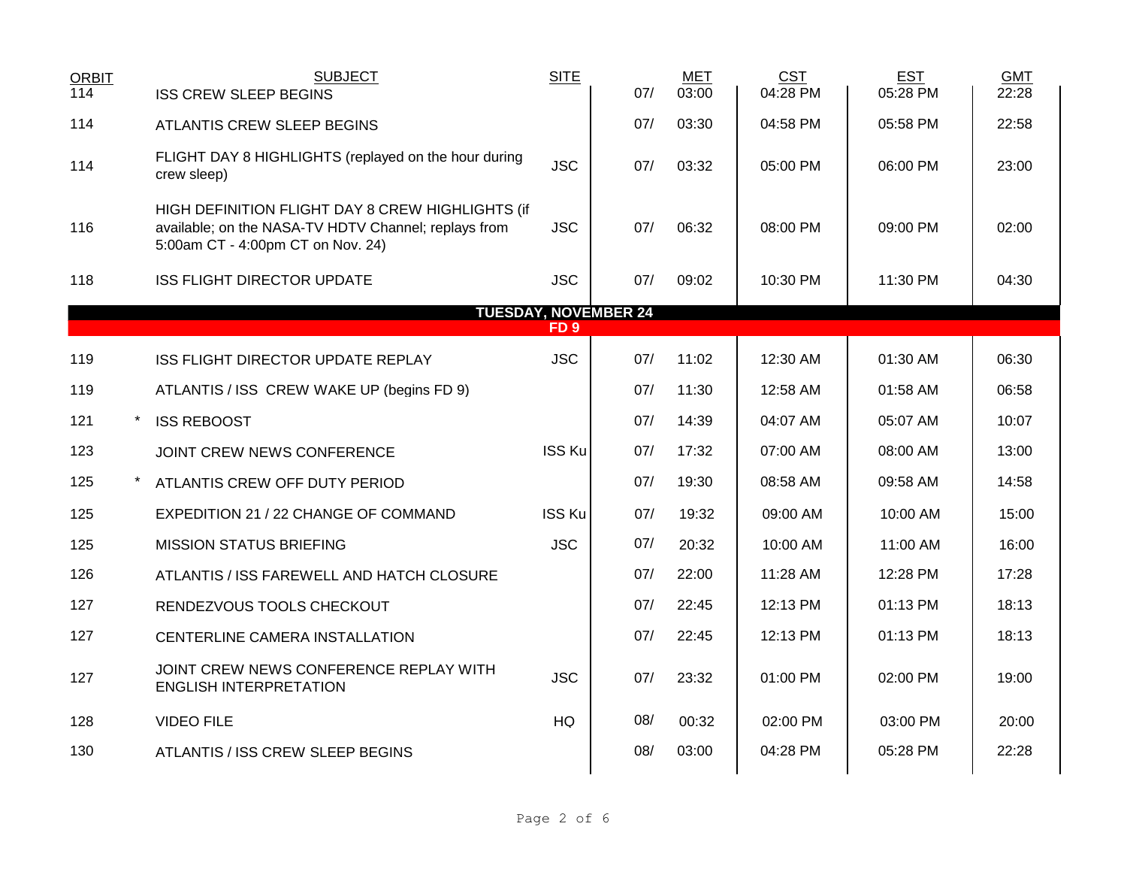| <b>ORBIT</b><br>114 | <b>ISS CREW SLEEP BEGINS</b>              | <b>SUBJECT</b>                                                                                           | <b>SITE</b>     | 07/                         | <b>MET</b><br>03:00 | <b>CST</b><br>04:28 PM | <b>EST</b><br>05:28 PM | <b>GMT</b><br>22:28 |
|---------------------|-------------------------------------------|----------------------------------------------------------------------------------------------------------|-----------------|-----------------------------|---------------------|------------------------|------------------------|---------------------|
| 114                 | <b>ATLANTIS CREW SLEEP BEGINS</b>         |                                                                                                          |                 | 07/                         | 03:30               | 04:58 PM               | 05:58 PM               | 22:58               |
| 114                 | crew sleep)                               | FLIGHT DAY 8 HIGHLIGHTS (replayed on the hour during                                                     | <b>JSC</b>      | 07/                         | 03:32               | 05:00 PM               | 06:00 PM               | 23:00               |
| 116                 | 5:00am CT - 4:00pm CT on Nov. 24)         | HIGH DEFINITION FLIGHT DAY 8 CREW HIGHLIGHTS (if<br>available; on the NASA-TV HDTV Channel; replays from | <b>JSC</b>      | 07/                         | 06:32               | 08:00 PM               | 09:00 PM               | 02:00               |
| 118                 | <b>ISS FLIGHT DIRECTOR UPDATE</b>         |                                                                                                          | <b>JSC</b>      | 07/                         | 09:02               | 10:30 PM               | 11:30 PM               | 04:30               |
|                     |                                           |                                                                                                          | FD <sub>9</sub> | <b>TUESDAY, NOVEMBER 24</b> |                     |                        |                        |                     |
| 119                 | ISS FLIGHT DIRECTOR UPDATE REPLAY         |                                                                                                          | <b>JSC</b>      | 07/                         | 11:02               | 12:30 AM               | 01:30 AM               | 06:30               |
| 119                 | ATLANTIS / ISS CREW WAKE UP (begins FD 9) |                                                                                                          |                 | 07/                         | 11:30               | 12:58 AM               | $01:58$ AM             | 06:58               |
| 121                 | <b>ISS REBOOST</b>                        |                                                                                                          |                 | 07/                         | 14:39               | 04:07 AM               | 05:07 AM               | 10:07               |
| 123                 | JOINT CREW NEWS CONFERENCE                |                                                                                                          | <b>ISS Ku</b>   | 07/                         | 17:32               | 07:00 AM               | 08:00 AM               | 13:00               |
| 125                 | ATLANTIS CREW OFF DUTY PERIOD             |                                                                                                          |                 | 07/                         | 19:30               | 08:58 AM               | 09:58 AM               | 14:58               |
| 125                 | EXPEDITION 21 / 22 CHANGE OF COMMAND      |                                                                                                          | <b>ISS Ku</b>   | 07/                         | 19:32               | 09:00 AM               | 10:00 AM               | 15:00               |
| 125                 | <b>MISSION STATUS BRIEFING</b>            |                                                                                                          | <b>JSC</b>      | 07/                         | 20:32               | 10:00 AM               | 11:00 AM               | 16:00               |
| 126                 |                                           | ATLANTIS / ISS FAREWELL AND HATCH CLOSURE                                                                |                 | 07/                         | 22:00               | 11:28 AM               | 12:28 PM               | 17:28               |
| 127                 | RENDEZVOUS TOOLS CHECKOUT                 |                                                                                                          |                 | 07/                         | 22:45               | 12:13 PM               | 01:13 PM               | 18:13               |
| 127                 | CENTERLINE CAMERA INSTALLATION            |                                                                                                          |                 | 07/                         | 22:45               | 12:13 PM               | 01:13 PM               | 18:13               |
| 127                 | <b>ENGLISH INTERPRETATION</b>             | JOINT CREW NEWS CONFERENCE REPLAY WITH                                                                   | <b>JSC</b>      | 07/                         | 23:32               | 01:00 PM               | 02:00 PM               | 19:00               |
| 128                 | <b>VIDEO FILE</b>                         |                                                                                                          | HQ              | 08/                         | 00:32               | 02:00 PM               | 03:00 PM               | 20:00               |
| 130                 | ATLANTIS / ISS CREW SLEEP BEGINS          |                                                                                                          |                 | 08/                         | 03:00               | 04:28 PM               | 05:28 PM               | 22:28               |
|                     |                                           |                                                                                                          |                 |                             |                     |                        |                        |                     |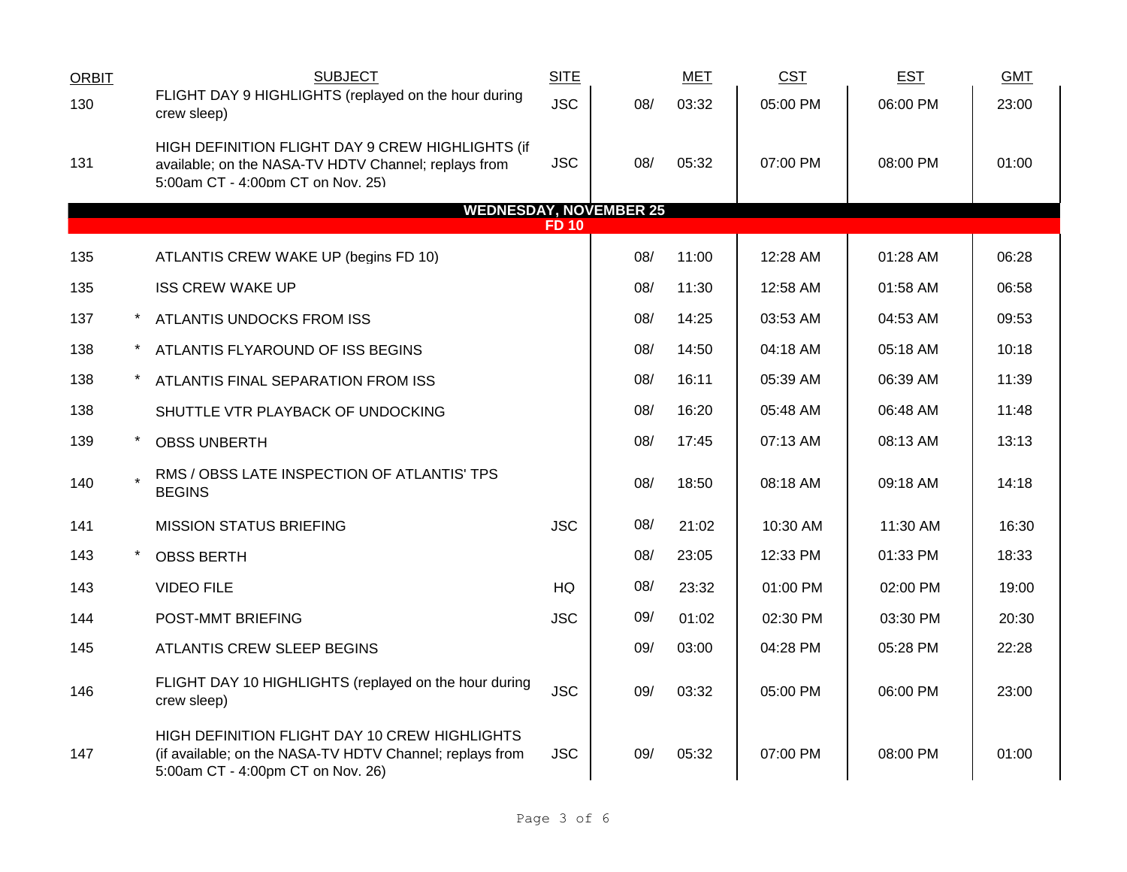| <b>ORBIT</b> | <b>SUBJECT</b>                                                                                                                                 | <b>SITE</b>  |                               | <b>MET</b> | <b>CST</b> | <b>EST</b> | <b>GMT</b> |
|--------------|------------------------------------------------------------------------------------------------------------------------------------------------|--------------|-------------------------------|------------|------------|------------|------------|
| 130          | FLIGHT DAY 9 HIGHLIGHTS (replayed on the hour during<br>crew sleep)                                                                            | <b>JSC</b>   | 08/                           | 03:32      | 05:00 PM   | 06:00 PM   | 23:00      |
| 131          | HIGH DEFINITION FLIGHT DAY 9 CREW HIGHLIGHTS (if<br>available; on the NASA-TV HDTV Channel; replays from<br>5:00am CT - 4:00pm CT on Nov. 25)  | <b>JSC</b>   | 08/                           | 05:32      | 07:00 PM   | 08:00 PM   | 01:00      |
|              |                                                                                                                                                |              | <b>WEDNESDAY, NOVEMBER 25</b> |            |            |            |            |
|              |                                                                                                                                                | <b>FD 10</b> |                               |            |            |            |            |
| 135          | ATLANTIS CREW WAKE UP (begins FD 10)                                                                                                           |              | 08/                           | 11:00      | 12:28 AM   | 01:28 AM   | 06:28      |
| 135          | <b>ISS CREW WAKE UP</b>                                                                                                                        |              | 08/                           | 11:30      | 12:58 AM   | 01:58 AM   | 06:58      |
| 137          | ATLANTIS UNDOCKS FROM ISS                                                                                                                      |              | 08/                           | 14:25      | 03:53 AM   | 04:53 AM   | 09:53      |
| 138          | ATLANTIS FLYAROUND OF ISS BEGINS                                                                                                               |              | 08/                           | 14:50      | 04:18 AM   | 05:18 AM   | 10:18      |
| 138          | ATLANTIS FINAL SEPARATION FROM ISS                                                                                                             |              | 08/                           | 16:11      | 05:39 AM   | 06:39 AM   | 11:39      |
| 138          | SHUTTLE VTR PLAYBACK OF UNDOCKING                                                                                                              |              | 08/                           | 16:20      | 05:48 AM   | 06:48 AM   | 11:48      |
| 139          | <b>OBSS UNBERTH</b>                                                                                                                            |              | 08/                           | 17:45      | 07:13 AM   | 08:13 AM   | 13:13      |
| 140          | RMS / OBSS LATE INSPECTION OF ATLANTIS' TPS<br><b>BEGINS</b>                                                                                   |              | 08/                           | 18:50      | 08:18 AM   | 09:18 AM   | 14:18      |
| 141          | <b>MISSION STATUS BRIEFING</b>                                                                                                                 | <b>JSC</b>   | 08/                           | 21:02      | 10:30 AM   | 11:30 AM   | 16:30      |
| 143          | <b>OBSS BERTH</b>                                                                                                                              |              | 08/                           | 23:05      | 12:33 PM   | 01:33 PM   | 18:33      |
| 143          | <b>VIDEO FILE</b>                                                                                                                              | <b>HQ</b>    | 08/                           | 23:32      | 01:00 PM   | 02:00 PM   | 19:00      |
| 144          | POST-MMT BRIEFING                                                                                                                              | <b>JSC</b>   | 09/                           | 01:02      | 02:30 PM   | 03:30 PM   | 20:30      |
| 145          | ATLANTIS CREW SLEEP BEGINS                                                                                                                     |              | 09/                           | 03:00      | 04:28 PM   | 05:28 PM   | 22:28      |
| 146          | FLIGHT DAY 10 HIGHLIGHTS (replayed on the hour during<br>crew sleep)                                                                           | <b>JSC</b>   | 09/                           | 03:32      | 05:00 PM   | 06:00 PM   | 23:00      |
| 147          | HIGH DEFINITION FLIGHT DAY 10 CREW HIGHLIGHTS<br>(if available; on the NASA-TV HDTV Channel; replays from<br>5:00am CT - 4:00pm CT on Nov. 26) | <b>JSC</b>   | 09/                           | 05:32      | 07:00 PM   | 08:00 PM   | 01:00      |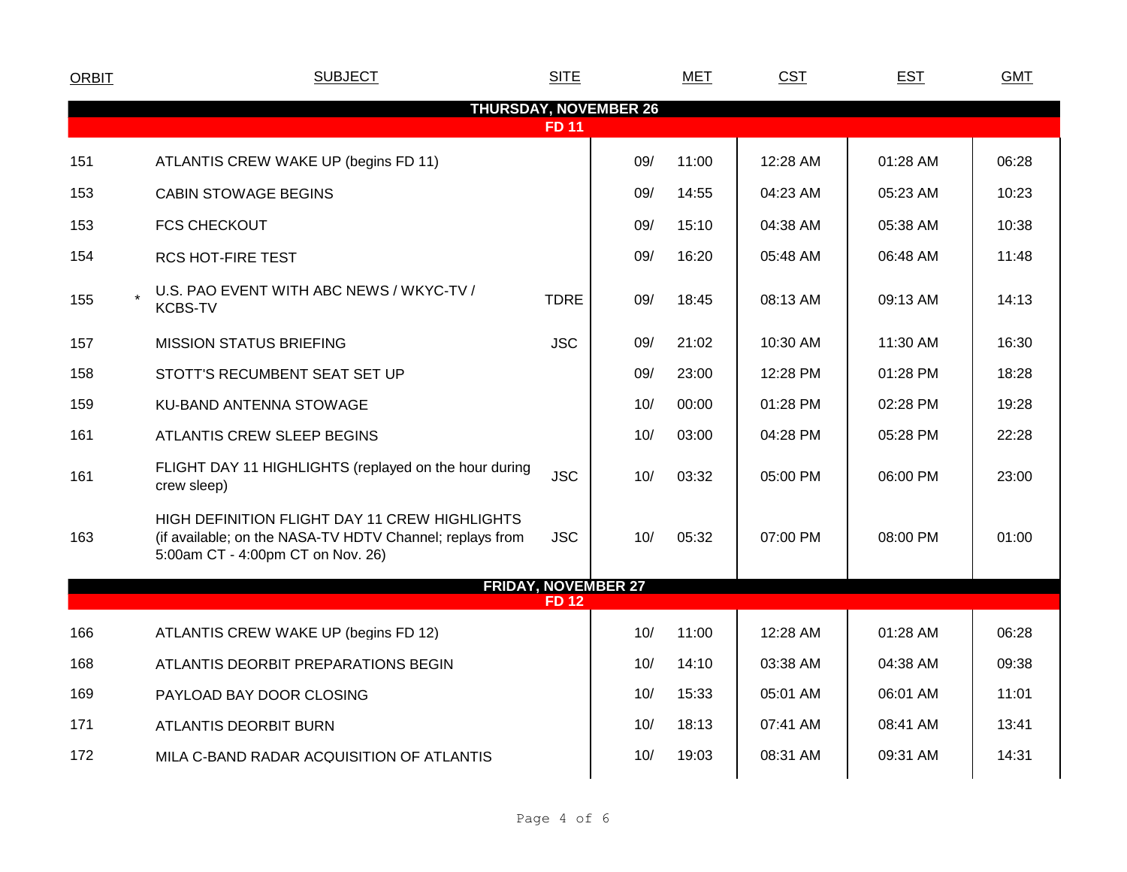| <b>ORBIT</b>                 | <b>SUBJECT</b>                                                                                                                                 | <b>SITE</b>  |                            | <b>MET</b> | <b>CST</b> | <b>EST</b> | <b>GMT</b> |  |  |  |  |
|------------------------------|------------------------------------------------------------------------------------------------------------------------------------------------|--------------|----------------------------|------------|------------|------------|------------|--|--|--|--|
| <b>THURSDAY, NOVEMBER 26</b> |                                                                                                                                                |              |                            |            |            |            |            |  |  |  |  |
|                              |                                                                                                                                                | <b>FD 11</b> |                            |            |            |            |            |  |  |  |  |
| 151                          | ATLANTIS CREW WAKE UP (begins FD 11)                                                                                                           |              | 09/                        | 11:00      | 12:28 AM   | 01:28 AM   | 06:28      |  |  |  |  |
| 153                          | <b>CABIN STOWAGE BEGINS</b>                                                                                                                    |              | 09/                        | 14:55      | 04:23 AM   | 05:23 AM   | 10:23      |  |  |  |  |
| 153                          | <b>FCS CHECKOUT</b>                                                                                                                            |              | 09/                        | 15:10      | 04:38 AM   | 05:38 AM   | 10:38      |  |  |  |  |
| 154                          | <b>RCS HOT-FIRE TEST</b>                                                                                                                       |              | 09/                        | 16:20      | 05:48 AM   | 06:48 AM   | 11:48      |  |  |  |  |
| 155                          | U.S. PAO EVENT WITH ABC NEWS / WKYC-TV /<br><b>KCBS-TV</b>                                                                                     | <b>TDRE</b>  | 09/                        | 18:45      | 08:13 AM   | 09:13 AM   | 14:13      |  |  |  |  |
| 157                          | <b>MISSION STATUS BRIEFING</b>                                                                                                                 | <b>JSC</b>   | 09/                        | 21:02      | 10:30 AM   | 11:30 AM   | 16:30      |  |  |  |  |
| 158                          | STOTT'S RECUMBENT SEAT SET UP                                                                                                                  |              | 09/                        | 23:00      | 12:28 PM   | 01:28 PM   | 18:28      |  |  |  |  |
| 159                          | KU-BAND ANTENNA STOWAGE                                                                                                                        |              | 10/                        | 00:00      | 01:28 PM   | 02:28 PM   | 19:28      |  |  |  |  |
| 161                          | ATLANTIS CREW SLEEP BEGINS                                                                                                                     |              | 10/                        | 03:00      | 04:28 PM   | 05:28 PM   | 22:28      |  |  |  |  |
| 161                          | FLIGHT DAY 11 HIGHLIGHTS (replayed on the hour during<br>crew sleep)                                                                           | <b>JSC</b>   | 10/                        | 03:32      | 05:00 PM   | 06:00 PM   | 23:00      |  |  |  |  |
| 163                          | HIGH DEFINITION FLIGHT DAY 11 CREW HIGHLIGHTS<br>(if available; on the NASA-TV HDTV Channel; replays from<br>5:00am CT - 4:00pm CT on Nov. 26) | <b>JSC</b>   | 10/                        | 05:32      | 07:00 PM   | 08:00 PM   | 01:00      |  |  |  |  |
|                              |                                                                                                                                                | <b>FD 12</b> | <b>FRIDAY, NOVEMBER 27</b> |            |            |            |            |  |  |  |  |
| 166                          | ATLANTIS CREW WAKE UP (begins FD 12)                                                                                                           |              | 10/                        | 11:00      | 12:28 AM   | 01:28 AM   | 06:28      |  |  |  |  |
| 168                          | ATLANTIS DEORBIT PREPARATIONS BEGIN                                                                                                            |              | 10/                        | 14:10      | 03:38 AM   | 04:38 AM   | 09:38      |  |  |  |  |
| 169                          | PAYLOAD BAY DOOR CLOSING                                                                                                                       |              | 10/                        | 15:33      | 05:01 AM   | 06:01 AM   | 11:01      |  |  |  |  |
| 171                          | ATLANTIS DEORBIT BURN                                                                                                                          |              | 10/                        | 18:13      | 07:41 AM   | 08:41 AM   | 13:41      |  |  |  |  |
| 172                          | MILA C-BAND RADAR ACQUISITION OF ATLANTIS                                                                                                      |              | 10/                        | 19:03      | 08:31 AM   | 09:31 AM   | 14:31      |  |  |  |  |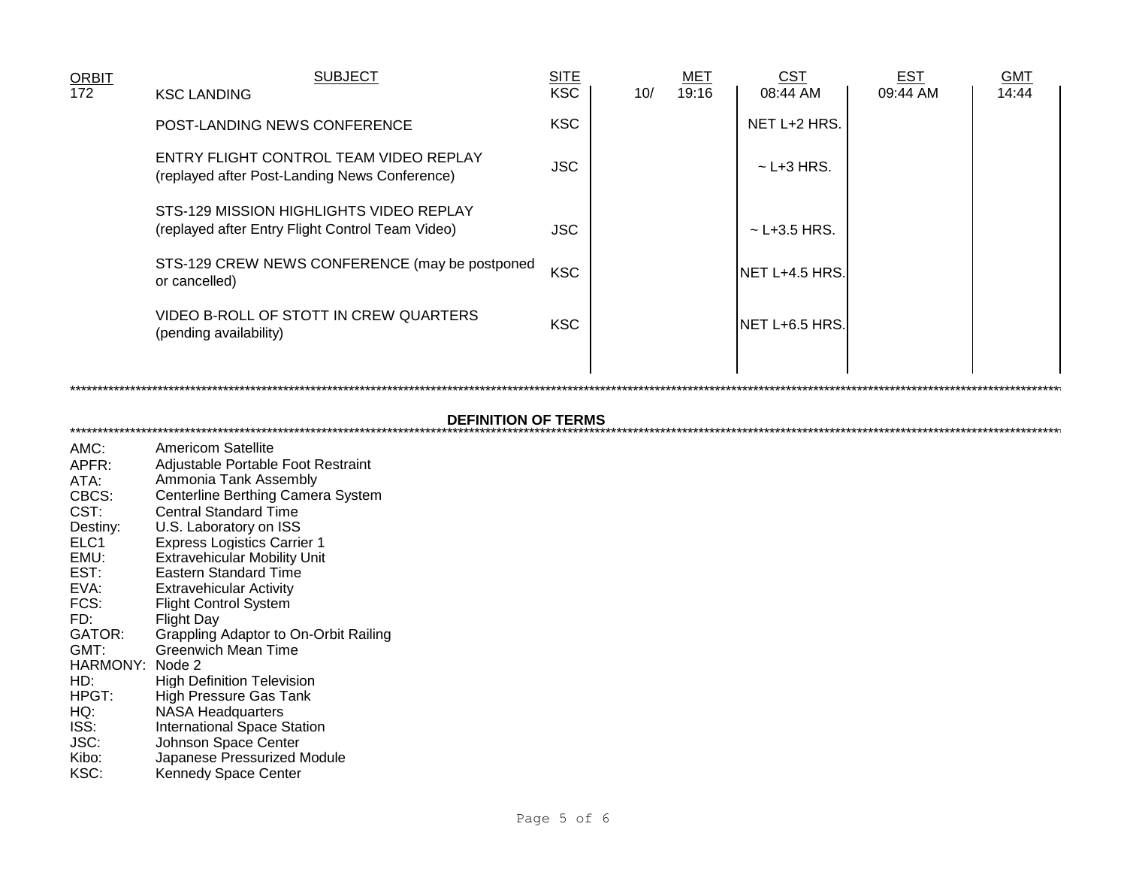| <b>ORBIT</b>     | <b>SUBJECT</b>                                                                              | <b>SITE</b> |     | <b>MET</b> | <u>CST</u>        | <b>EST</b> | <b>GMT</b> |
|------------------|---------------------------------------------------------------------------------------------|-------------|-----|------------|-------------------|------------|------------|
| $\overline{172}$ | <b>KSC LANDING</b>                                                                          | <b>KSC</b>  | 10/ | 19:16      | 08:44 AM          | 09:44 AM   | 14:44      |
|                  | <b>POST-LANDING NEWS CONFERENCE</b>                                                         | <b>KSC</b>  |     |            | NET L+2 HRS.      |            |            |
|                  | ENTRY FLIGHT CONTROL TEAM VIDEO REPLAY<br>(replayed after Post-Landing News Conference)     | <b>JSC</b>  |     |            | $\sim$ L+3 HRS.   |            |            |
|                  | STS-129 MISSION HIGHLIGHTS VIDEO REPLAY<br>(replayed after Entry Flight Control Team Video) | <b>JSC</b>  |     |            | $\sim$ L+3.5 HRS. |            |            |
|                  | STS-129 CREW NEWS CONFERENCE (may be postponed<br>or cancelled)                             | <b>KSC</b>  |     |            | INET L+4.5 HRS.   |            |            |
|                  | VIDEO B-ROLL OF STOTT IN CREW QUARTERS<br>(pending availability)                            | <b>KSC</b>  |     |            | NET L+6.5 HRS.    |            |            |
|                  |                                                                                             |             |     |            |                   |            |            |

## 

| AMC:             | <b>Americom Satellite</b>             |
|------------------|---------------------------------------|
| APFR:            | Adjustable Portable Foot Restraint    |
| ATA:             | Ammonia Tank Assembly                 |
| CBCS:            | Centerline Berthing Camera System     |
| CST:             | <b>Central Standard Time</b>          |
| Destiny:         | U.S. Laboratory on ISS                |
| ELC <sub>1</sub> | <b>Express Logistics Carrier 1</b>    |
| EMU:             | <b>Extravehicular Mobility Unit</b>   |
| EST:             | <b>Eastern Standard Time</b>          |
| EVA:             | Extravehicular Activity               |
| FCS:             | <b>Flight Control System</b>          |
| FD:              | Flight Day                            |
| GATOR:           | Grappling Adaptor to On-Orbit Railing |
| GMT:             | Greenwich Mean Time                   |
| HARMONY: .       | Node 2                                |
| HD:              | High Definition Television            |
| HPGT:            | High Pressure Gas Tank                |
| HQ:              | NASA Headquarters                     |
| ISS:             | <b>International Space Station</b>    |
| JSC:             | Johnson Space Center                  |
| Kibo:            | Japanese Pressurized Module           |
| KSC:             | Kennedy Space Center                  |